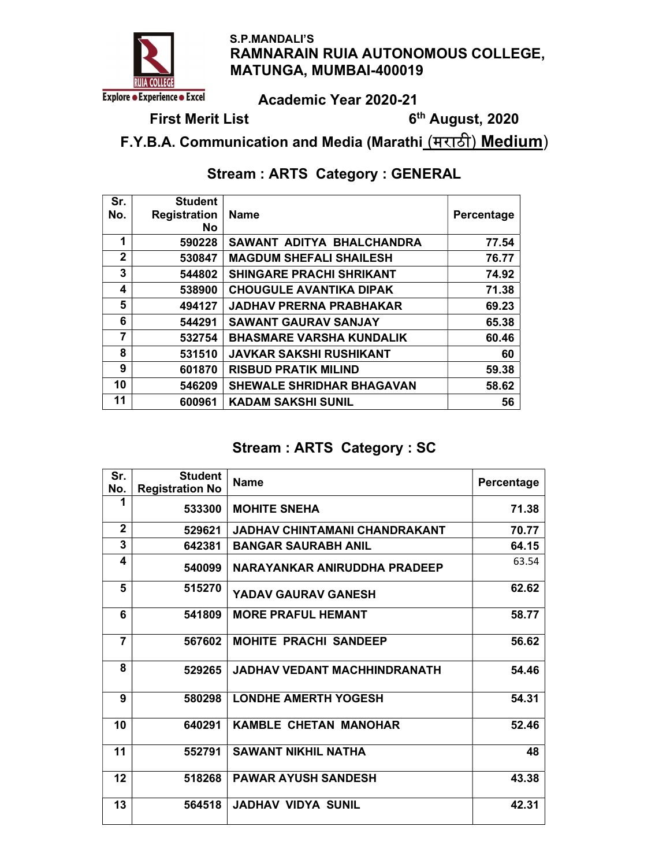

 S.P.MANDALI'S RAMNARAIN RUIA AUTONOMOUS COLLEGE, MATUNGA, MUMBAI-400019

Academic Year 2020-21

First Merit List **6th** August, 2020

F.Y.B.A. Communication and Media (Marathi (मराठी) Medium)

# Stream : ARTS Category : GENERAL

| Sr.<br>No.   | <b>Student</b><br><b>Registration</b><br><b>No</b> | <b>Name</b>                      | Percentage |
|--------------|----------------------------------------------------|----------------------------------|------------|
| 1            | 590228                                             | SAWANT ADITYA BHALCHANDRA        | 77.54      |
| $\mathbf{2}$ | 530847                                             | <b>MAGDUM SHEFALI SHAILESH</b>   | 76.77      |
| 3            | 544802                                             | <b>SHINGARE PRACHI SHRIKANT</b>  | 74.92      |
| 4            | 538900                                             | <b>CHOUGULE AVANTIKA DIPAK</b>   | 71.38      |
| 5            | 494127                                             | <b>JADHAV PRERNA PRABHAKAR</b>   | 69.23      |
| 6            | 544291                                             | <b>SAWANT GAURAV SANJAY</b>      | 65.38      |
| 7            | 532754                                             | <b>BHASMARE VARSHA KUNDALIK</b>  | 60.46      |
| 8            | 531510                                             | <b>JAVKAR SAKSHI RUSHIKANT</b>   | 60         |
| 9            | 601870                                             | <b>RISBUD PRATIK MILIND</b>      | 59.38      |
| 10           | 546209                                             | <b>SHEWALE SHRIDHAR BHAGAVAN</b> | 58.62      |
| 11           | 600961                                             | <b>KADAM SAKSHI SUNIL</b>        | 56         |

## Stream : ARTS Category : SC

| Sr.<br>No.     | <b>Student</b><br><b>Registration No</b> | <b>Name</b>                   | Percentage |
|----------------|------------------------------------------|-------------------------------|------------|
| 1              | 533300                                   | <b>MOHITE SNEHA</b>           | 71.38      |
| $\mathbf{2}$   | 529621                                   | JADHAV CHINTAMANI CHANDRAKANT | 70.77      |
| 3              | 642381                                   | <b>BANGAR SAURABH ANIL</b>    | 64.15      |
| 4              | 540099                                   | NARAYANKAR ANIRUDDHA PRADEEP  | 63.54      |
| 5              | 515270                                   | YADAV GAURAV GANESH           | 62.62      |
| 6              | 541809                                   | <b>MORE PRAFUL HEMANT</b>     | 58.77      |
| $\overline{7}$ | 567602                                   | <b>MOHITE PRACHI SANDEEP</b>  | 56.62      |
| 8              | 529265                                   | JADHAV VEDANT MACHHINDRANATH  | 54.46      |
| 9              | 580298                                   | <b>LONDHE AMERTH YOGESH</b>   | 54.31      |
| 10             | 640291                                   | <b>KAMBLE CHETAN MANOHAR</b>  | 52.46      |
| 11             | 552791                                   | <b>SAWANT NIKHIL NATHA</b>    | 48         |
| 12             | 518268                                   | <b>PAWAR AYUSH SANDESH</b>    | 43.38      |
| 13             | 564518                                   | <b>JADHAV VIDYA SUNIL</b>     | 42.31      |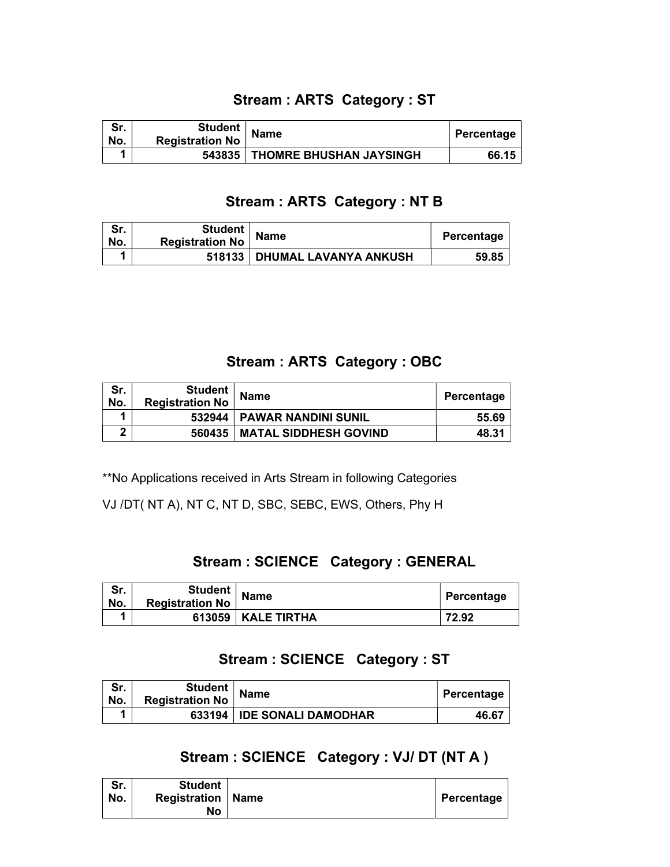## Stream : ARTS Category : ST

| Sr.<br>'No. | <b>Student</b><br><b>Registration No</b> | <b>Name</b>                      | Percentage |
|-------------|------------------------------------------|----------------------------------|------------|
|             |                                          | 543835   THOMRE BHUSHAN JAYSINGH | 66.15      |

## Stream : ARTS Category : NT B

| Sr.<br>No. | <b>Student</b><br><b>Registration No</b> | <b>Name</b>                    | Percentage |
|------------|------------------------------------------|--------------------------------|------------|
|            |                                          | 518133   DHUMAL LAVANYA ANKUSH | 59.85      |

#### Stream : ARTS Category : OBC

| Sr.<br>No. | Student  <br><b>Registration No</b> | <b>Name</b>                  | <b>Percentage</b> |
|------------|-------------------------------------|------------------------------|-------------------|
|            |                                     | 532944   PAWAR NANDINI SUNIL | 55.69             |
|            | 560435                              | <b>MATAL SIDDHESH GOVIND</b> | 48.31             |

\*\*No Applications received in Arts Stream in following Categories

VJ /DT( NT A), NT C, NT D, SBC, SEBC, EWS, Others, Phy H

#### Stream : SCIENCE Category : GENERAL

| Sr.<br>No. | Student  <br><b>Registration No</b> | <b>Name</b> | Percentage |
|------------|-------------------------------------|-------------|------------|
|            | 613059                              | KALE TIRTHA | 72.92      |

## Stream : SCIENCE Category : ST

| Sr.<br>No. | Student  <br><b>Registration No</b> | <b>Name</b>                | Percentage |
|------------|-------------------------------------|----------------------------|------------|
|            | 633194                              | <b>IDE SONALI DAMODHAR</b> | 46.67      |

## Stream : SCIENCE Category : VJ/ DT (NT A )

| Sr.<br>No. | <b>Student</b><br><b>Registration   Name</b><br>No |  | Percentage |
|------------|----------------------------------------------------|--|------------|
|------------|----------------------------------------------------|--|------------|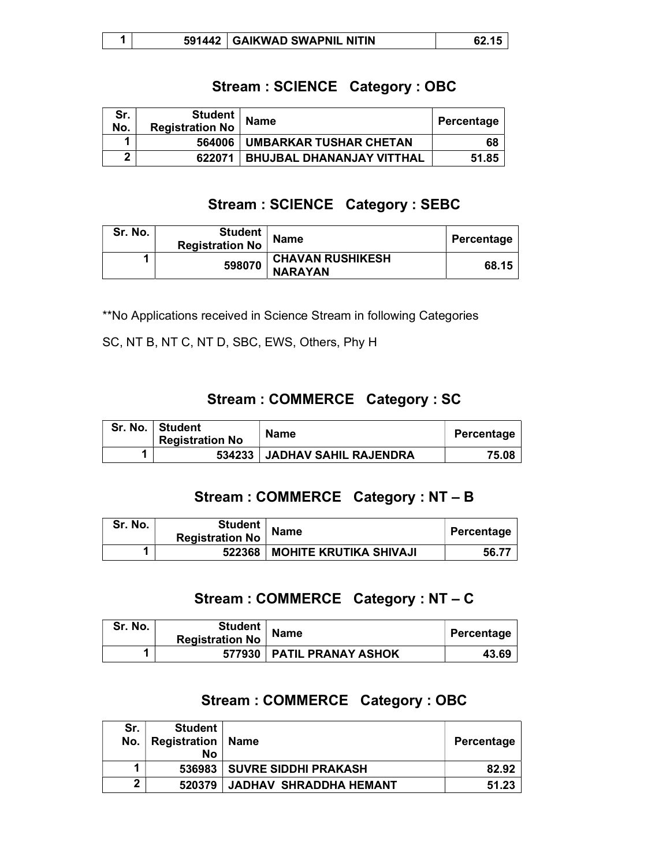|  | 5914 | <b>GAIKWAD SWAPNIL NITIN</b> |  |
|--|------|------------------------------|--|
|--|------|------------------------------|--|

## Stream : SCIENCE Category : OBC

| Sr.<br>No. | <b>Student</b><br><b>Registration No</b> | <b>Name</b>                      | , Percentage |
|------------|------------------------------------------|----------------------------------|--------------|
| и          | 564006                                   | UMBARKAR TUSHAR CHETAN           | 68           |
| ŋ          | 622071                                   | <b>BHUJBAL DHANANJAY VITTHAL</b> | 51.85        |

### Stream : SCIENCE Category : SEBC

| Sr. No. | <b>Student</b><br><b>Registration No</b> | <b>Name</b>                               | Percentage |
|---------|------------------------------------------|-------------------------------------------|------------|
|         | 598070                                   | <b>CHAVAN RUSHIKESH</b><br><b>NARAYAN</b> | 68.15      |

\*\*No Applications received in Science Stream in following Categories

SC, NT B, NT C, NT D, SBC, EWS, Others, Phy H

## Stream : COMMERCE Category : SC

| Sr. No.   Student<br><b>Registration No</b> | <b>Name</b>                  | Percentage |
|---------------------------------------------|------------------------------|------------|
| 534233                                      | <b>JADHAV SAHIL RAJENDRA</b> | 75.08      |

## Stream : COMMERCE Category : NT – B

| Sr. No. | Student  <br><b>Registration No</b> | <b>Name</b>                     | Percentage |
|---------|-------------------------------------|---------------------------------|------------|
|         |                                     | 522368   MOHITE KRUTIKA SHIVAJI | 56.77      |

#### Stream : COMMERCE Category : NT – C

| Sr. No. | Student <sub>I</sub><br><b>Registration No</b> | <b>Name</b>                 | Percentage |
|---------|------------------------------------------------|-----------------------------|------------|
|         |                                                | 577930   PATIL PRANAY ASHOK | 43.69      |

## Stream : COMMERCE Category : OBC

| Sr.<br>No. | <b>Student</b><br>Registration<br>No | Name                          | Percentage |
|------------|--------------------------------------|-------------------------------|------------|
|            | 536983                               | SUVRE SIDDHI PRAKASH          | 82.92      |
| າ          | 520379                               | <b>JADHAV SHRADDHA HEMANT</b> | 51.23      |